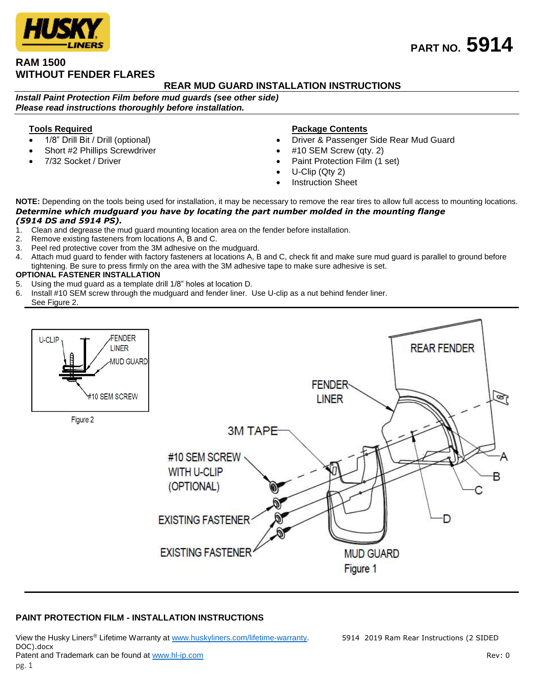# **RAM 1500 WITHOUT FENDER FLARES**

## **REAR MUD GUARD INSTALLATION INSTRUCTIONS**

*Install Paint Protection Film before mud guards (see other side) Please read instructions thoroughly before installation.*

## **Tools Required**

- 1/8" Drill Bit / Drill (optional)
- Short #2 Phillips Screwdriver
- 7/32 Socket / Driver

#### **Package Contents**

- Driver & Passenger Side Rear Mud Guard
- #10 SEM Screw (qty. 2)
- Paint Protection Film (1 set)
- U-Clip (Qty 2)
- Instruction Sheet

**NOTE:** Depending on the tools being used for installation, it may be necessary to remove the rear tires to allow full access to mounting locations. *Determine which mudguard you have by locating the part number molded in the mounting flange (5914 DS and 5914 PS).*

- Clean and degrease the mud guard mounting location area on the fender before installation.
- 2. Remove existing fasteners from locations A, B and C.
- 3. Peel red protective cover from the 3M adhesive on the mudguard.
- 4. Attach mud guard to fender with factory fasteners at locations A, B and C, check fit and make sure mud guard is parallel to ground before tightening. Be sure to press firmly on the area with the 3M adhesive tape to make sure adhesive is set.

### **OPTIONAL FASTENER INSTALLATION**

- 5. Using the mud guard as a template drill 1/8" holes at location D.
- 6. Install #10 SEM screw through the mudguard and fender liner. Use U-clip as a nut behind fender liner. See Figure 2.



## **PAINT PROTECTION FILM - INSTALLATION INSTRUCTIONS**

View the Husky Liners® Lifetime Warranty at [www.huskyliners.com/lifetime-warranty.](http://www.huskyliners.com/lifetime-warranty) 5914 2019 Ram Rear Instructions (2 SIDED DOC).docx Patent and Trademark can be found a[t www.hl-ip.com](http://www.hl-ip.com/) **Review Account 2012** News 1 Account 2012 Rev: 0 pg. 1